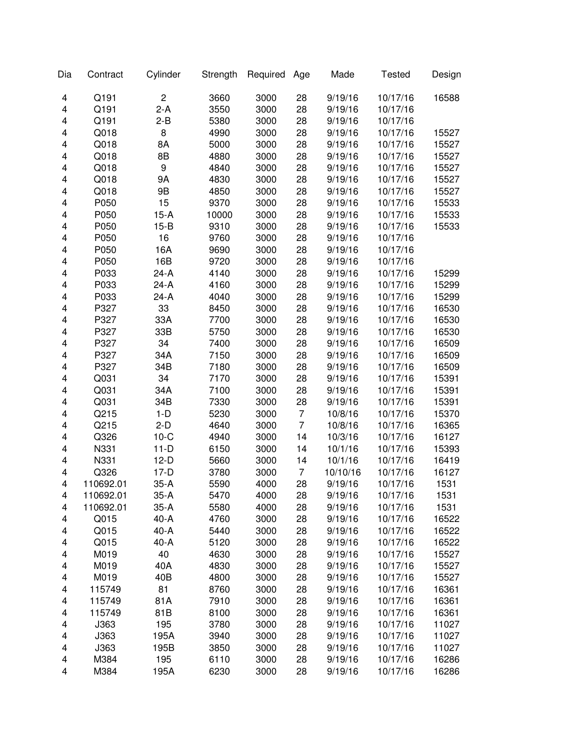| Dia    | Contract  | Cylinder       | Strength | Required | Age            | Made     | <b>Tested</b> | Design |
|--------|-----------|----------------|----------|----------|----------------|----------|---------------|--------|
| 4      | Q191      | $\overline{c}$ | 3660     | 3000     | 28             | 9/19/16  | 10/17/16      | 16588  |
| 4      | Q191      | $2-A$          | 3550     | 3000     | 28             | 9/19/16  | 10/17/16      |        |
| 4      | Q191      | $2 - B$        | 5380     | 3000     | 28             | 9/19/16  | 10/17/16      |        |
| 4      | Q018      | 8              | 4990     | 3000     | 28             | 9/19/16  | 10/17/16      | 15527  |
| 4      | Q018      | 8A             | 5000     | 3000     | 28             | 9/19/16  | 10/17/16      | 15527  |
| 4      | Q018      | 8B             | 4880     | 3000     | 28             | 9/19/16  | 10/17/16      | 15527  |
| 4      | Q018      | 9              | 4840     | 3000     | 28             | 9/19/16  | 10/17/16      | 15527  |
| 4      | Q018      | 9Α             | 4830     | 3000     | 28             | 9/19/16  | 10/17/16      | 15527  |
| 4      | Q018      | 9B             | 4850     | 3000     | 28             | 9/19/16  | 10/17/16      | 15527  |
| 4      | P050      | 15             | 9370     | 3000     | 28             | 9/19/16  | 10/17/16      | 15533  |
| 4      | P050      | $15-A$         | 10000    | 3000     | 28             | 9/19/16  | 10/17/16      | 15533  |
| 4      | P050      | $15-B$         | 9310     | 3000     | 28             | 9/19/16  | 10/17/16      | 15533  |
| 4      | P050      | 16             | 9760     | 3000     | 28             | 9/19/16  | 10/17/16      |        |
| 4      | P050      | 16A            | 9690     | 3000     | 28             | 9/19/16  | 10/17/16      |        |
| 4      | P050      | 16B            | 9720     | 3000     | 28             | 9/19/16  | 10/17/16      |        |
| 4      | P033      | $24-A$         | 4140     | 3000     | 28             | 9/19/16  | 10/17/16      | 15299  |
| 4      | P033      | $24-A$         | 4160     | 3000     | 28             | 9/19/16  | 10/17/16      | 15299  |
| 4      | P033      | $24-A$         | 4040     | 3000     | 28             | 9/19/16  | 10/17/16      | 15299  |
| 4      | P327      | 33             | 8450     | 3000     | 28             | 9/19/16  | 10/17/16      | 16530  |
| 4      | P327      | 33A            | 7700     | 3000     | 28             | 9/19/16  | 10/17/16      | 16530  |
| 4      | P327      | 33B            | 5750     | 3000     | 28             | 9/19/16  | 10/17/16      | 16530  |
| 4      | P327      | 34             | 7400     | 3000     | 28             | 9/19/16  | 10/17/16      | 16509  |
| 4      | P327      | 34A            | 7150     | 3000     | 28             | 9/19/16  | 10/17/16      | 16509  |
| 4      | P327      | 34B            | 7180     | 3000     | 28             | 9/19/16  | 10/17/16      | 16509  |
| 4      | Q031      | 34             | 7170     | 3000     | 28             | 9/19/16  | 10/17/16      | 15391  |
| 4      | Q031      | 34A            | 7100     | 3000     | 28             | 9/19/16  | 10/17/16      | 15391  |
| 4      | Q031      | 34B            | 7330     | 3000     | 28             | 9/19/16  | 10/17/16      | 15391  |
| 4      | Q215      | $1-D$          | 5230     | 3000     | $\overline{7}$ | 10/8/16  | 10/17/16      | 15370  |
| 4      | Q215      | $2-D$          | 4640     | 3000     | $\overline{7}$ | 10/8/16  | 10/17/16      | 16365  |
| 4      | Q326      | $10-C$         | 4940     | 3000     | 14             | 10/3/16  | 10/17/16      | 16127  |
| 4      | N331      | $11-D$         | 6150     | 3000     | 14             | 10/1/16  | 10/17/16      | 15393  |
| 4      | N331      | $12-D$         | 5660     | 3000     | 14             | 10/1/16  | 10/17/16      | 16419  |
| 4      | Q326      | $17-D$         | 3780     | 3000     | $\overline{7}$ | 10/10/16 | 10/17/16      | 16127  |
| 4      | 110692.01 | $35-A$         | 5590     | 4000     | 28             | 9/19/16  | 10/17/16      | 1531   |
|        | 110692.01 | 35-A           | 5470     | 4000     |                | 9/19/16  | 10/17/16      | 1531   |
| 4<br>4 | 110692.01 | $35-A$         | 5580     | 4000     | 28<br>28       | 9/19/16  | 10/17/16      | 1531   |
| 4      | Q015      | 40-A           | 4760     | 3000     | 28             | 9/19/16  | 10/17/16      | 16522  |
| 4      | Q015      | 40-A           | 5440     | 3000     | 28             | 9/19/16  | 10/17/16      | 16522  |
|        | Q015      | 40-A           | 5120     | 3000     | 28             | 9/19/16  | 10/17/16      | 16522  |
| 4<br>4 | M019      | 40             | 4630     | 3000     | 28             | 9/19/16  | 10/17/16      | 15527  |
|        |           |                |          |          |                |          |               |        |
| 4      | M019      | 40A            | 4830     | 3000     | 28             | 9/19/16  | 10/17/16      | 15527  |
| 4      | M019      | 40B            | 4800     | 3000     | 28             | 9/19/16  | 10/17/16      | 15527  |
| 4      | 115749    | 81             | 8760     | 3000     | 28             | 9/19/16  | 10/17/16      | 16361  |
| 4      | 115749    | 81A            | 7910     | 3000     | 28             | 9/19/16  | 10/17/16      | 16361  |
| 4      | 115749    | 81B            | 8100     | 3000     | 28             | 9/19/16  | 10/17/16      | 16361  |
| 4      | J363      | 195            | 3780     | 3000     | 28             | 9/19/16  | 10/17/16      | 11027  |
| 4      | J363      | 195A           | 3940     | 3000     | 28             | 9/19/16  | 10/17/16      | 11027  |
| 4      | J363      | 195B           | 3850     | 3000     | 28             | 9/19/16  | 10/17/16      | 11027  |
| 4      | M384      | 195            | 6110     | 3000     | 28             | 9/19/16  | 10/17/16      | 16286  |
| 4      | M384      | 195A           | 6230     | 3000     | 28             | 9/19/16  | 10/17/16      | 16286  |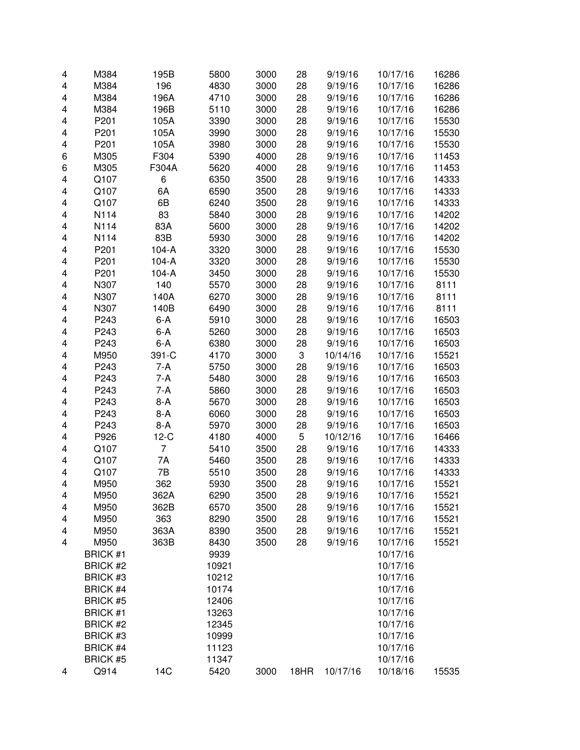| 4 | M384            | 195B    | 5800  | 3000 | 28   | 9/19/16  | 10/17/16 | 16286 |
|---|-----------------|---------|-------|------|------|----------|----------|-------|
| 4 | M384            | 196     | 4830  | 3000 | 28   | 9/19/16  | 10/17/16 | 16286 |
| 4 | M384            | 196A    | 4710  | 3000 | 28   | 9/19/16  | 10/17/16 | 16286 |
| 4 | M384            | 196B    | 5110  | 3000 | 28   | 9/19/16  | 10/17/16 | 16286 |
| 4 | P201            | 105A    | 3390  | 3000 | 28   | 9/19/16  | 10/17/16 | 15530 |
| 4 | P201            | 105A    | 3990  | 3000 | 28   | 9/19/16  | 10/17/16 | 15530 |
| 4 | P201            | 105A    | 3980  | 3000 | 28   | 9/19/16  | 10/17/16 | 15530 |
| 6 | M305            | F304    | 5390  | 4000 | 28   | 9/19/16  | 10/17/16 | 11453 |
| 6 | M305            | F304A   | 5620  | 4000 | 28   | 9/19/16  | 10/17/16 | 11453 |
| 4 | Q107            | 6       | 6350  | 3500 | 28   | 9/19/16  | 10/17/16 | 14333 |
| 4 | Q107            | 6A      | 6590  | 3500 | 28   | 9/19/16  | 10/17/16 | 14333 |
| 4 | Q107            | 6B      | 6240  | 3500 | 28   | 9/19/16  | 10/17/16 | 14333 |
| 4 | N114            | 83      | 5840  | 3000 | 28   | 9/19/16  | 10/17/16 | 14202 |
| 4 | N114            | 83A     | 5600  | 3000 | 28   | 9/19/16  | 10/17/16 | 14202 |
| 4 | N114            | 83B     | 5930  | 3000 | 28   | 9/19/16  | 10/17/16 | 14202 |
| 4 | P201            | $104-A$ | 3320  | 3000 | 28   | 9/19/16  | 10/17/16 | 15530 |
| 4 | P201            | $104-A$ | 3320  | 3000 | 28   | 9/19/16  | 10/17/16 | 15530 |
| 4 | P201            | $104-A$ | 3450  | 3000 | 28   | 9/19/16  | 10/17/16 | 15530 |
| 4 | N307            | 140     | 5570  | 3000 | 28   | 9/19/16  | 10/17/16 | 8111  |
| 4 | N307            | 140A    | 6270  | 3000 | 28   | 9/19/16  | 10/17/16 | 8111  |
| 4 | N307            | 140B    | 6490  | 3000 | 28   | 9/19/16  | 10/17/16 | 8111  |
| 4 | P243            | $6 - A$ | 5910  | 3000 | 28   | 9/19/16  | 10/17/16 | 16503 |
| 4 | P243            | $6 - A$ | 5260  | 3000 | 28   | 9/19/16  | 10/17/16 | 16503 |
| 4 | P243            | $6-A$   | 6380  | 3000 | 28   | 9/19/16  | 10/17/16 | 16503 |
| 4 | M950            | 391-C   | 4170  | 3000 | 3    | 10/14/16 | 10/17/16 | 15521 |
| 4 | P243            | $7-A$   | 5750  | 3000 | 28   | 9/19/16  | 10/17/16 | 16503 |
| 4 | P243            | $7-A$   | 5480  | 3000 | 28   | 9/19/16  | 10/17/16 | 16503 |
| 4 | P243            | $7-A$   | 5860  | 3000 | 28   | 9/19/16  | 10/17/16 | 16503 |
| 4 | P243            | $8-A$   | 5670  | 3000 | 28   | 9/19/16  | 10/17/16 | 16503 |
| 4 | P243            | $8-A$   | 6060  | 3000 | 28   | 9/19/16  | 10/17/16 | 16503 |
| 4 | P243            | $8-A$   | 5970  | 3000 | 28   | 9/19/16  | 10/17/16 | 16503 |
| 4 | P926            | $12-C$  | 4180  | 4000 | 5    | 10/12/16 | 10/17/16 | 16466 |
| 4 | Q107            | 7       | 5410  | 3500 | 28   | 9/19/16  | 10/17/16 | 14333 |
| 4 | Q107            | 7A      | 5460  | 3500 | 28   | 9/19/16  | 10/17/16 | 14333 |
| 4 | Q107            | 7B      | 5510  | 3500 | 28   | 9/19/16  | 10/17/16 | 14333 |
| 4 | M950            | 362     | 5930  | 3500 | 28   | 9/19/16  | 10/17/16 | 15521 |
| 4 | M950            | 362A    | 6290  | 3500 | 28   | 9/19/16  | 10/17/16 | 15521 |
| 4 | M950            | 362B    | 6570  | 3500 | 28   | 9/19/16  | 10/17/16 | 15521 |
| 4 | M950            | 363     | 8290  | 3500 | 28   | 9/19/16  | 10/17/16 | 15521 |
| 4 | M950            | 363A    | 8390  | 3500 | 28   | 9/19/16  | 10/17/16 | 15521 |
| 4 | M950            | 363B    | 8430  | 3500 | 28   | 9/19/16  | 10/17/16 | 15521 |
|   | <b>BRICK #1</b> |         | 9939  |      |      |          | 10/17/16 |       |
|   | <b>BRICK #2</b> |         | 10921 |      |      |          | 10/17/16 |       |
|   | BRICK #3        |         | 10212 |      |      |          | 10/17/16 |       |
|   | <b>BRICK #4</b> |         | 10174 |      |      |          | 10/17/16 |       |
|   | <b>BRICK #5</b> |         | 12406 |      |      |          | 10/17/16 |       |
|   | <b>BRICK #1</b> |         | 13263 |      |      |          | 10/17/16 |       |
|   | <b>BRICK #2</b> |         | 12345 |      |      |          | 10/17/16 |       |
|   | BRICK #3        |         | 10999 |      |      |          | 10/17/16 |       |
|   | <b>BRICK #4</b> |         | 11123 |      |      |          | 10/17/16 |       |
|   | <b>BRICK #5</b> |         | 11347 |      |      |          | 10/17/16 |       |
| 4 | Q914            | 14C     | 5420  | 3000 | 18HR | 10/17/16 | 10/18/16 | 15535 |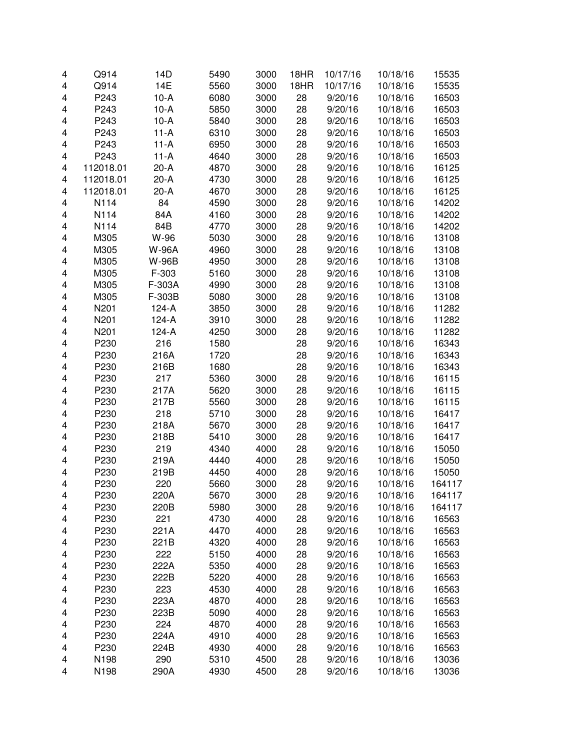| 4 | Q914         | 14D          | 5490         | 3000         | 18HR     | 10/17/16           | 10/18/16             | 15535            |
|---|--------------|--------------|--------------|--------------|----------|--------------------|----------------------|------------------|
| 4 | Q914         | 14E          | 5560         | 3000         | 18HR     | 10/17/16           | 10/18/16             | 15535            |
| 4 | P243         | $10-A$       | 6080         | 3000         | 28       | 9/20/16            | 10/18/16             | 16503            |
| 4 | P243         | $10-A$       | 5850         | 3000         | 28       | 9/20/16            | 10/18/16             | 16503            |
| 4 | P243         | $10-A$       | 5840         | 3000         | 28       | 9/20/16            | 10/18/16             | 16503            |
| 4 | P243         | $11-A$       | 6310         | 3000         | 28       | 9/20/16            | 10/18/16             | 16503            |
| 4 | P243         | $11-A$       | 6950         | 3000         | 28       | 9/20/16            | 10/18/16             | 16503            |
| 4 | P243         | $11-A$       | 4640         | 3000         | 28       | 9/20/16            | 10/18/16             | 16503            |
| 4 | 112018.01    | $20-A$       | 4870         | 3000         | 28       | 9/20/16            | 10/18/16             | 16125            |
| 4 | 112018.01    | $20-A$       | 4730         | 3000         | 28       | 9/20/16            | 10/18/16             | 16125            |
| 4 | 112018.01    | $20-A$       | 4670         | 3000         | 28       | 9/20/16            | 10/18/16             | 16125            |
| 4 | N114         | 84           | 4590         | 3000         | 28       | 9/20/16            | 10/18/16             | 14202            |
| 4 | N114         | 84A          | 4160         | 3000         | 28       | 9/20/16            | 10/18/16             | 14202            |
| 4 | N114         | 84B          | 4770         | 3000         | 28       | 9/20/16            | 10/18/16             | 14202            |
| 4 | M305         | W-96         | 5030         | 3000         | 28       | 9/20/16            | 10/18/16             | 13108            |
| 4 | M305         | <b>W-96A</b> | 4960         | 3000         | 28       | 9/20/16            | 10/18/16             | 13108            |
| 4 | M305         | W-96B        | 4950         | 3000         | 28       | 9/20/16            | 10/18/16             | 13108            |
| 4 | M305         | F-303        | 5160         | 3000         | 28       | 9/20/16            | 10/18/16             | 13108            |
| 4 | M305         | F-303A       | 4990         | 3000         | 28       | 9/20/16            | 10/18/16             | 13108            |
| 4 | M305         | F-303B       | 5080         | 3000         | 28       | 9/20/16            | 10/18/16             | 13108            |
| 4 | N201         | $124-A$      | 3850         | 3000         | 28       | 9/20/16            | 10/18/16             | 11282            |
| 4 | N201         | $124-A$      | 3910         | 3000         | 28       | 9/20/16            | 10/18/16             | 11282            |
| 4 | N201         | $124-A$      | 4250         | 3000         | 28       | 9/20/16            | 10/18/16             | 11282            |
| 4 | P230         | 216          | 1580         |              | 28       | 9/20/16            | 10/18/16             | 16343            |
| 4 | P230         | 216A         | 1720         |              | 28       | 9/20/16            | 10/18/16             | 16343            |
| 4 | P230         | 216B         | 1680         |              | 28       | 9/20/16            | 10/18/16             | 16343            |
| 4 | P230         | 217          | 5360         | 3000         | 28       | 9/20/16            | 10/18/16             | 16115            |
| 4 | P230         | 217A         | 5620         | 3000         | 28       | 9/20/16            | 10/18/16             | 16115            |
| 4 | P230         | 217B         | 5560         | 3000         | 28       | 9/20/16            | 10/18/16             | 16115            |
| 4 | P230         | 218          | 5710         | 3000         | 28       | 9/20/16            | 10/18/16             | 16417            |
| 4 | P230         | 218A         | 5670         | 3000         | 28       | 9/20/16            | 10/18/16             | 16417            |
| 4 | P230         | 218B         | 5410         | 3000         | 28       | 9/20/16            | 10/18/16             | 16417            |
| 4 | P230         | 219          | 4340         | 4000         | 28       | 9/20/16            | 10/18/16             | 15050            |
| 4 | P230         | 219A         | 4440         | 4000         | 28       | 9/20/16            | 10/18/16             | 15050            |
| 4 | P230         | 219B         | 4450         | 4000         | 28       | 9/20/16            | 10/18/16             | 15050            |
| 4 | P230         | 220          | 5660         | 3000         | 28       | 9/20/16            | 10/18/16             | 164117           |
| 4 |              | 220A         |              |              |          |                    |                      |                  |
| 4 | P230<br>P230 | 220B         | 5670<br>5980 | 3000<br>3000 | 28<br>28 | 9/20/16<br>9/20/16 | 10/18/16<br>10/18/16 | 164117<br>164117 |
| 4 | P230         | 221          | 4730         | 4000         | 28       | 9/20/16            | 10/18/16             | 16563            |
| 4 | P230         | 221A         | 4470         | 4000         | 28       | 9/20/16            | 10/18/16             | 16563            |
|   |              | 221B         | 4320         | 4000         | 28       |                    |                      | 16563            |
| 4 | P230<br>P230 | 222          | 5150         | 4000         | 28       | 9/20/16            | 10/18/16             | 16563            |
| 4 |              | 222A         |              |              |          | 9/20/16            | 10/18/16             |                  |
| 4 | P230         | 222B         | 5350         | 4000         | 28       | 9/20/16            | 10/18/16             | 16563            |
| 4 | P230         |              | 5220         | 4000         | 28       | 9/20/16            | 10/18/16             | 16563            |
| 4 | P230<br>P230 | 223          | 4530         | 4000         | 28       | 9/20/16            | 10/18/16             | 16563            |
| 4 |              | 223A         | 4870         | 4000         | 28       | 9/20/16            | 10/18/16             | 16563            |
| 4 | P230         | 223B         | 5090         | 4000         | 28       | 9/20/16            | 10/18/16             | 16563            |
| 4 | P230         | 224          | 4870         | 4000         | 28       | 9/20/16            | 10/18/16             | 16563            |
| 4 | P230         | 224A         | 4910         | 4000         | 28       | 9/20/16            | 10/18/16             | 16563            |
| 4 | P230         | 224B         | 4930         | 4000         | 28       | 9/20/16            | 10/18/16             | 16563            |
| 4 | N198         | 290          | 5310         | 4500         | 28       | 9/20/16            | 10/18/16             | 13036            |
| 4 | N198         | 290A         | 4930         | 4500         | 28       | 9/20/16            | 10/18/16             | 13036            |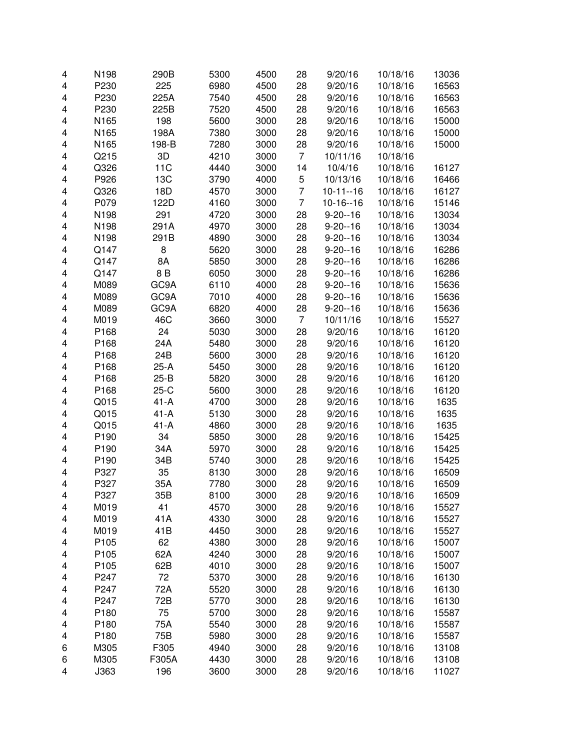| 4                       | N198 | 290B   | 5300 | 4500 | 28             | 9/20/16       | 10/18/16 | 13036 |
|-------------------------|------|--------|------|------|----------------|---------------|----------|-------|
| 4                       | P230 | 225    | 6980 | 4500 | 28             | 9/20/16       | 10/18/16 | 16563 |
| 4                       | P230 | 225A   | 7540 | 4500 | 28             | 9/20/16       | 10/18/16 | 16563 |
| 4                       | P230 | 225B   | 7520 | 4500 | 28             | 9/20/16       | 10/18/16 | 16563 |
| 4                       | N165 | 198    | 5600 | 3000 | 28             | 9/20/16       | 10/18/16 | 15000 |
| 4                       | N165 | 198A   | 7380 | 3000 | 28             | 9/20/16       | 10/18/16 | 15000 |
| 4                       | N165 | 198-B  | 7280 | 3000 | 28             | 9/20/16       | 10/18/16 | 15000 |
| 4                       | Q215 | 3D     | 4210 | 3000 | $\overline{7}$ | 10/11/16      | 10/18/16 |       |
| 4                       | Q326 | 11C    | 4440 | 3000 | 14             | 10/4/16       | 10/18/16 | 16127 |
| 4                       | P926 | 13C    | 3790 | 4000 | 5              | 10/13/16      | 10/18/16 | 16466 |
| 4                       | Q326 | 18D    | 4570 | 3000 | $\overline{7}$ | $10-11-16$    | 10/18/16 | 16127 |
| 4                       | P079 | 122D   | 4160 | 3000 | $\overline{7}$ | $10-16-16$    | 10/18/16 | 15146 |
| 4                       | N198 | 291    | 4720 | 3000 | 28             | $9 - 20 - 16$ | 10/18/16 | 13034 |
| 4                       | N198 | 291A   | 4970 | 3000 | 28             | $9 - 20 - 16$ | 10/18/16 | 13034 |
| 4                       | N198 | 291B   | 4890 | 3000 | 28             | $9 - 20 - 16$ | 10/18/16 | 13034 |
| 4                       | Q147 | 8      | 5620 | 3000 | 28             | $9 - 20 - 16$ | 10/18/16 | 16286 |
| 4                       | Q147 | 8A     | 5850 | 3000 | 28             | $9 - 20 - 16$ | 10/18/16 | 16286 |
|                         | Q147 | 8 B    |      | 3000 |                | $9 - 20 - 16$ |          | 16286 |
| 4                       |      |        | 6050 |      | 28             |               | 10/18/16 |       |
| 4                       | M089 | GC9A   | 6110 | 4000 | 28             | $9 - 20 - 16$ | 10/18/16 | 15636 |
| 4                       | M089 | GC9A   | 7010 | 4000 | 28             | $9 - 20 - 16$ | 10/18/16 | 15636 |
| 4                       | M089 | GC9A   | 6820 | 4000 | 28             | $9 - 20 - 16$ | 10/18/16 | 15636 |
| 4                       | M019 | 46C    | 3660 | 3000 | 7              | 10/11/16      | 10/18/16 | 15527 |
| 4                       | P168 | 24     | 5030 | 3000 | 28             | 9/20/16       | 10/18/16 | 16120 |
| 4                       | P168 | 24A    | 5480 | 3000 | 28             | 9/20/16       | 10/18/16 | 16120 |
| 4                       | P168 | 24B    | 5600 | 3000 | 28             | 9/20/16       | 10/18/16 | 16120 |
| 4                       | P168 | $25-A$ | 5450 | 3000 | 28             | 9/20/16       | 10/18/16 | 16120 |
| 4                       | P168 | $25-B$ | 5820 | 3000 | 28             | 9/20/16       | 10/18/16 | 16120 |
| 4                       | P168 | $25-C$ | 5600 | 3000 | 28             | 9/20/16       | 10/18/16 | 16120 |
| $\overline{\mathbf{4}}$ | Q015 | $41-A$ | 4700 | 3000 | 28             | 9/20/16       | 10/18/16 | 1635  |
| 4                       | Q015 | $41-A$ | 5130 | 3000 | 28             | 9/20/16       | 10/18/16 | 1635  |
| $\overline{\mathbf{4}}$ | Q015 | $41-A$ | 4860 | 3000 | 28             | 9/20/16       | 10/18/16 | 1635  |
| 4                       | P190 | 34     | 5850 | 3000 | 28             | 9/20/16       | 10/18/16 | 15425 |
| 4                       | P190 | 34A    | 5970 | 3000 | 28             | 9/20/16       | 10/18/16 | 15425 |
| 4                       | P190 | 34B    | 5740 | 3000 | 28             | 9/20/16       | 10/18/16 | 15425 |
| 4                       | P327 | 35     | 8130 | 3000 | 28             | 9/20/16       | 10/18/16 | 16509 |
| 4                       | P327 | 35A    | 7780 | 3000 | 28             | 9/20/16       | 10/18/16 | 16509 |
| 4                       | P327 | 35B    | 8100 | 3000 | 28             | 9/20/16       | 10/18/16 | 16509 |
| 4                       | M019 | 41     | 4570 | 3000 | 28             | 9/20/16       | 10/18/16 | 15527 |
| 4                       | M019 | 41A    | 4330 | 3000 | 28             | 9/20/16       | 10/18/16 | 15527 |
| 4                       | M019 | 41B    | 4450 | 3000 | 28             | 9/20/16       | 10/18/16 | 15527 |
| 4                       | P105 | 62     | 4380 | 3000 | 28             | 9/20/16       | 10/18/16 | 15007 |
| 4                       | P105 | 62A    | 4240 | 3000 | 28             | 9/20/16       | 10/18/16 | 15007 |
| 4                       | P105 | 62B    | 4010 | 3000 | 28             | 9/20/16       | 10/18/16 | 15007 |
| 4                       | P247 | 72     | 5370 | 3000 | 28             | 9/20/16       | 10/18/16 | 16130 |
| 4                       | P247 | 72A    | 5520 | 3000 | 28             | 9/20/16       | 10/18/16 | 16130 |
| 4                       | P247 | 72B    | 5770 | 3000 | 28             | 9/20/16       | 10/18/16 | 16130 |
| 4                       | P180 | 75     | 5700 | 3000 | 28             | 9/20/16       | 10/18/16 | 15587 |
| 4                       | P180 | 75A    | 5540 | 3000 | 28             | 9/20/16       | 10/18/16 | 15587 |
| 4                       | P180 | 75B    | 5980 | 3000 | 28             | 9/20/16       | 10/18/16 | 15587 |
| 6                       | M305 | F305   | 4940 | 3000 | 28             | 9/20/16       | 10/18/16 | 13108 |
| 6                       | M305 | F305A  | 4430 | 3000 | 28             | 9/20/16       | 10/18/16 | 13108 |
| 4                       | J363 | 196    | 3600 | 3000 | 28             | 9/20/16       | 10/18/16 | 11027 |
|                         |      |        |      |      |                |               |          |       |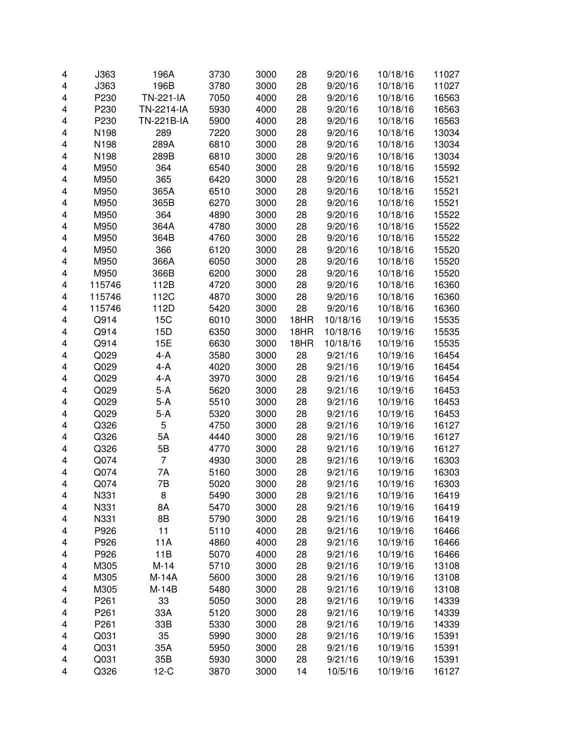| 4                       | J363   | 196A           | 3730 | 3000 | 28   | 9/20/16  | 10/18/16 | 11027 |
|-------------------------|--------|----------------|------|------|------|----------|----------|-------|
| $\overline{\mathbf{4}}$ | J363   | 196B           | 3780 | 3000 | 28   | 9/20/16  | 10/18/16 | 11027 |
| 4                       | P230   | TN-221-IA      | 7050 | 4000 | 28   | 9/20/16  | 10/18/16 | 16563 |
| 4                       | P230   | TN-2214-IA     | 5930 | 4000 | 28   | 9/20/16  | 10/18/16 | 16563 |
| 4                       | P230   | TN-221B-IA     | 5900 | 4000 | 28   | 9/20/16  | 10/18/16 | 16563 |
| 4                       | N198   | 289            | 7220 | 3000 | 28   | 9/20/16  | 10/18/16 | 13034 |
| 4                       | N198   | 289A           | 6810 | 3000 | 28   | 9/20/16  | 10/18/16 | 13034 |
| 4                       | N198   | 289B           | 6810 | 3000 | 28   | 9/20/16  | 10/18/16 | 13034 |
| 4                       | M950   | 364            | 6540 | 3000 | 28   | 9/20/16  | 10/18/16 | 15592 |
| 4                       | M950   | 365            | 6420 | 3000 | 28   | 9/20/16  | 10/18/16 | 15521 |
| 4                       | M950   | 365A           | 6510 | 3000 | 28   | 9/20/16  | 10/18/16 | 15521 |
| 4                       | M950   | 365B           | 6270 | 3000 | 28   | 9/20/16  | 10/18/16 | 15521 |
| 4                       | M950   | 364            | 4890 | 3000 | 28   | 9/20/16  | 10/18/16 | 15522 |
| 4                       | M950   | 364A           | 4780 | 3000 | 28   | 9/20/16  | 10/18/16 | 15522 |
| $\overline{\mathbf{4}}$ | M950   | 364B           | 4760 | 3000 | 28   | 9/20/16  | 10/18/16 | 15522 |
| $\overline{\mathbf{4}}$ | M950   | 366            | 6120 | 3000 | 28   | 9/20/16  | 10/18/16 | 15520 |
|                         |        |                |      |      |      |          |          |       |
| $\overline{\mathbf{4}}$ | M950   | 366A           | 6050 | 3000 | 28   | 9/20/16  | 10/18/16 | 15520 |
| 4                       | M950   | 366B           | 6200 | 3000 | 28   | 9/20/16  | 10/18/16 | 15520 |
| 4                       | 115746 | 112B           | 4720 | 3000 | 28   | 9/20/16  | 10/18/16 | 16360 |
| 4                       | 115746 | 112C           | 4870 | 3000 | 28   | 9/20/16  | 10/18/16 | 16360 |
| 4                       | 115746 | 112D           | 5420 | 3000 | 28   | 9/20/16  | 10/18/16 | 16360 |
| 4                       | Q914   | 15C            | 6010 | 3000 | 18HR | 10/18/16 | 10/19/16 | 15535 |
| 4                       | Q914   | 15D            | 6350 | 3000 | 18HR | 10/18/16 | 10/19/16 | 15535 |
| 4                       | Q914   | 15E            | 6630 | 3000 | 18HR | 10/18/16 | 10/19/16 | 15535 |
| 4                       | Q029   | $4 - A$        | 3580 | 3000 | 28   | 9/21/16  | 10/19/16 | 16454 |
| 4                       | Q029   | $4 - A$        | 4020 | 3000 | 28   | 9/21/16  | 10/19/16 | 16454 |
| 4                       | Q029   | $4-A$          | 3970 | 3000 | 28   | 9/21/16  | 10/19/16 | 16454 |
| 4                       | Q029   | 5-A            | 5620 | 3000 | 28   | 9/21/16  | 10/19/16 | 16453 |
| 4                       | Q029   | 5-A            | 5510 | 3000 | 28   | 9/21/16  | 10/19/16 | 16453 |
| 4                       | Q029   | 5-A            | 5320 | 3000 | 28   | 9/21/16  | 10/19/16 | 16453 |
| 4                       | Q326   | 5              | 4750 | 3000 | 28   | 9/21/16  | 10/19/16 | 16127 |
| $\overline{\mathbf{4}}$ | Q326   | 5A             | 4440 | 3000 | 28   | 9/21/16  | 10/19/16 | 16127 |
| $\overline{\mathbf{4}}$ | Q326   | 5B             | 4770 | 3000 | 28   | 9/21/16  | 10/19/16 | 16127 |
| $\overline{\mathbf{4}}$ | Q074   | $\overline{7}$ | 4930 | 3000 | 28   | 9/21/16  | 10/19/16 | 16303 |
| 4                       | Q074   | 7A             | 5160 | 3000 | 28   | 9/21/16  | 10/19/16 | 16303 |
| 4                       | Q074   | 7B             | 5020 | 3000 | 28   | 9/21/16  | 10/19/16 | 16303 |
| 4                       | N331   | 8              | 5490 | 3000 | 28   | 9/21/16  | 10/19/16 | 16419 |
| 4                       | N331   | 8A             | 5470 | 3000 | 28   | 9/21/16  | 10/19/16 | 16419 |
| 4                       | N331   | 8B             | 5790 | 3000 | 28   | 9/21/16  | 10/19/16 | 16419 |
| 4                       | P926   | 11             | 5110 | 4000 | 28   | 9/21/16  | 10/19/16 | 16466 |
| 4                       | P926   | 11A            | 4860 | 4000 | 28   | 9/21/16  | 10/19/16 | 16466 |
| 4                       | P926   | 11B            | 5070 | 4000 | 28   | 9/21/16  | 10/19/16 | 16466 |
| 4                       | M305   | $M-14$         | 5710 | 3000 | 28   | 9/21/16  | 10/19/16 | 13108 |
| 4                       | M305   | M-14A          | 5600 | 3000 | 28   | 9/21/16  | 10/19/16 | 13108 |
| 4                       | M305   | $M-14B$        | 5480 | 3000 | 28   | 9/21/16  | 10/19/16 | 13108 |
|                         | P261   | 33             | 5050 | 3000 | 28   | 9/21/16  | 10/19/16 | 14339 |
| 4                       |        | 33A            |      |      |      |          |          |       |
| 4                       | P261   |                | 5120 | 3000 | 28   | 9/21/16  | 10/19/16 | 14339 |
| 4                       | P261   | 33B            | 5330 | 3000 | 28   | 9/21/16  | 10/19/16 | 14339 |
| 4                       | Q031   | 35             | 5990 | 3000 | 28   | 9/21/16  | 10/19/16 | 15391 |
| 4                       | Q031   | 35A            | 5950 | 3000 | 28   | 9/21/16  | 10/19/16 | 15391 |
| 4                       | Q031   | 35B            | 5930 | 3000 | 28   | 9/21/16  | 10/19/16 | 15391 |
| 4                       | Q326   | $12-C$         | 3870 | 3000 | 14   | 10/5/16  | 10/19/16 | 16127 |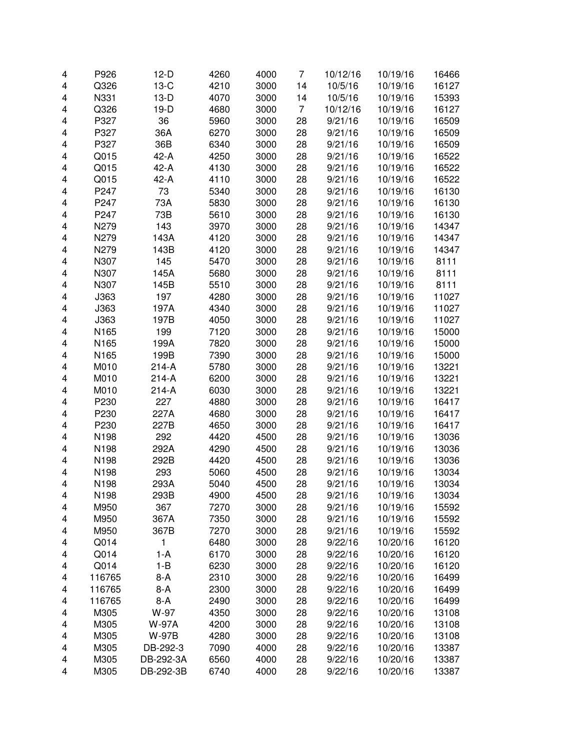| 4                       | P926   | $12-D$       | 4260 | 4000 | 7  | 10/12/16 | 10/19/16 | 16466 |
|-------------------------|--------|--------------|------|------|----|----------|----------|-------|
| $\overline{\mathbf{4}}$ | Q326   | $13-C$       | 4210 | 3000 | 14 | 10/5/16  | 10/19/16 | 16127 |
| 4                       | N331   | $13-D$       | 4070 | 3000 | 14 | 10/5/16  | 10/19/16 | 15393 |
| 4                       | Q326   | $19-D$       | 4680 | 3000 | 7  | 10/12/16 | 10/19/16 | 16127 |
| 4                       | P327   | 36           | 5960 | 3000 | 28 | 9/21/16  | 10/19/16 | 16509 |
| 4                       | P327   | 36A          | 6270 | 3000 | 28 | 9/21/16  | 10/19/16 | 16509 |
| 4                       | P327   | 36B          | 6340 | 3000 | 28 | 9/21/16  | 10/19/16 | 16509 |
| 4                       | Q015   | $42-A$       | 4250 | 3000 | 28 | 9/21/16  | 10/19/16 | 16522 |
| 4                       | Q015   | $42-A$       | 4130 | 3000 | 28 | 9/21/16  | 10/19/16 | 16522 |
| 4                       | Q015   | 42-A         | 4110 | 3000 | 28 | 9/21/16  | 10/19/16 | 16522 |
| 4                       | P247   | 73           | 5340 | 3000 | 28 | 9/21/16  | 10/19/16 | 16130 |
| 4                       | P247   | 73A          | 5830 | 3000 | 28 | 9/21/16  | 10/19/16 | 16130 |
| 4                       | P247   | 73B          | 5610 | 3000 | 28 | 9/21/16  | 10/19/16 | 16130 |
| 4                       | N279   | 143          | 3970 | 3000 | 28 | 9/21/16  | 10/19/16 | 14347 |
| 4                       | N279   | 143A         | 4120 | 3000 | 28 | 9/21/16  | 10/19/16 | 14347 |
| 4                       | N279   | 143B         | 4120 | 3000 | 28 | 9/21/16  | 10/19/16 | 14347 |
| 4                       | N307   | 145          | 5470 | 3000 | 28 | 9/21/16  | 10/19/16 | 8111  |
| 4                       | N307   | 145A         | 5680 | 3000 | 28 | 9/21/16  | 10/19/16 | 8111  |
| 4                       | N307   | 145B         | 5510 | 3000 | 28 | 9/21/16  | 10/19/16 | 8111  |
| 4                       | J363   | 197          | 4280 | 3000 | 28 | 9/21/16  | 10/19/16 | 11027 |
| 4                       | J363   | 197A         | 4340 | 3000 | 28 | 9/21/16  | 10/19/16 | 11027 |
| 4                       | J363   | 197B         | 4050 | 3000 | 28 | 9/21/16  | 10/19/16 | 11027 |
| 4                       | N165   | 199          | 7120 | 3000 | 28 | 9/21/16  | 10/19/16 | 15000 |
| 4                       | N165   | 199A         | 7820 | 3000 | 28 | 9/21/16  | 10/19/16 | 15000 |
| 4                       | N165   | 199B         | 7390 | 3000 | 28 | 9/21/16  | 10/19/16 | 15000 |
| 4                       | M010   | $214-A$      | 5780 | 3000 | 28 | 9/21/16  | 10/19/16 | 13221 |
| 4                       | M010   | $214-A$      | 6200 | 3000 | 28 | 9/21/16  | 10/19/16 | 13221 |
| 4                       | M010   | $214-A$      | 6030 | 3000 | 28 | 9/21/16  | 10/19/16 | 13221 |
| 4                       | P230   | 227          | 4880 | 3000 | 28 | 9/21/16  | 10/19/16 | 16417 |
| $\overline{\mathbf{4}}$ | P230   | 227A         | 4680 | 3000 | 28 | 9/21/16  | 10/19/16 | 16417 |
| 4                       | P230   | 227B         | 4650 | 3000 | 28 | 9/21/16  | 10/19/16 | 16417 |
| $\overline{\mathbf{4}}$ | N198   | 292          | 4420 | 4500 | 28 | 9/21/16  | 10/19/16 | 13036 |
| 4                       | N198   | 292A         | 4290 | 4500 | 28 | 9/21/16  | 10/19/16 | 13036 |
| 4                       | N198   | 292B         | 4420 | 4500 | 28 | 9/21/16  | 10/19/16 | 13036 |
| 4                       | N198   | 293          | 5060 | 4500 | 28 | 9/21/16  | 10/19/16 | 13034 |
| 4                       | N198   | 293A         | 5040 | 4500 | 28 | 9/21/16  | 10/19/16 | 13034 |
| 4                       | N198   | 293B         | 4900 | 4500 | 28 | 9/21/16  | 10/19/16 | 13034 |
| 4                       | M950   | 367          | 7270 | 3000 | 28 | 9/21/16  | 10/19/16 | 15592 |
| 4                       | M950   | 367A         | 7350 | 3000 | 28 | 9/21/16  | 10/19/16 | 15592 |
| 4                       | M950   | 367B         | 7270 | 3000 | 28 | 9/21/16  | 10/19/16 | 15592 |
| 4                       | Q014   | 1            | 6480 | 3000 | 28 | 9/22/16  | 10/20/16 | 16120 |
| 4                       | Q014   | $1-A$        | 6170 | 3000 | 28 | 9/22/16  | 10/20/16 | 16120 |
| 4                       | Q014   | $1 - B$      | 6230 | 3000 | 28 | 9/22/16  | 10/20/16 | 16120 |
| 4                       | 116765 | $8-A$        | 2310 | 3000 | 28 | 9/22/16  | 10/20/16 | 16499 |
| 4                       | 116765 | $8-A$        | 2300 | 3000 | 28 | 9/22/16  | 10/20/16 | 16499 |
| 4                       | 116765 | $8-A$        | 2490 | 3000 | 28 | 9/22/16  | 10/20/16 | 16499 |
| 4                       | M305   | W-97         | 4350 | 3000 | 28 | 9/22/16  | 10/20/16 | 13108 |
| 4                       | M305   | <b>W-97A</b> | 4200 | 3000 | 28 | 9/22/16  | 10/20/16 | 13108 |
| 4                       | M305   | <b>W-97B</b> | 4280 | 3000 | 28 | 9/22/16  | 10/20/16 | 13108 |
| 4                       | M305   | DB-292-3     | 7090 | 4000 | 28 | 9/22/16  | 10/20/16 | 13387 |
| 4                       | M305   | DB-292-3A    | 6560 | 4000 | 28 | 9/22/16  | 10/20/16 | 13387 |
| 4                       | M305   | DB-292-3B    | 6740 | 4000 | 28 | 9/22/16  | 10/20/16 | 13387 |
|                         |        |              |      |      |    |          |          |       |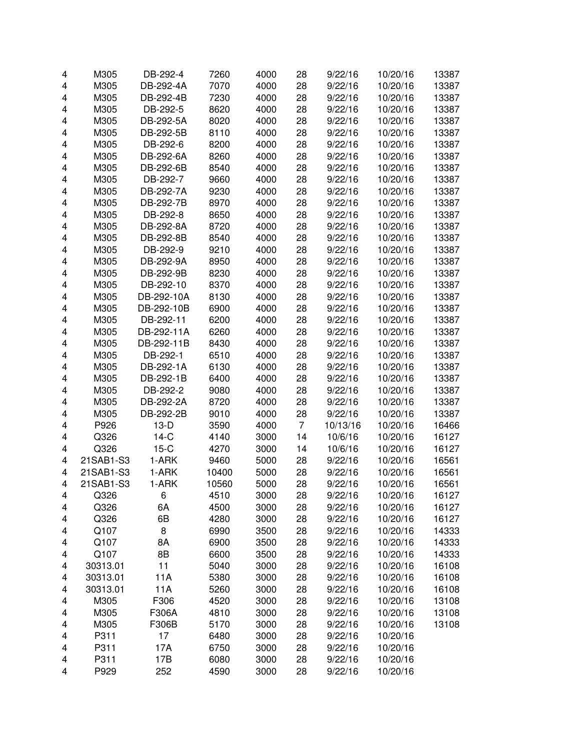| 4 | M305      | DB-292-4   | 7260  | 4000 | 28             | 9/22/16  | 10/20/16 | 13387 |
|---|-----------|------------|-------|------|----------------|----------|----------|-------|
| 4 | M305      | DB-292-4A  | 7070  | 4000 | 28             | 9/22/16  | 10/20/16 | 13387 |
| 4 | M305      | DB-292-4B  | 7230  | 4000 | 28             | 9/22/16  | 10/20/16 | 13387 |
| 4 | M305      | DB-292-5   | 8620  | 4000 | 28             | 9/22/16  | 10/20/16 | 13387 |
| 4 | M305      | DB-292-5A  | 8020  | 4000 | 28             | 9/22/16  | 10/20/16 | 13387 |
| 4 | M305      | DB-292-5B  | 8110  | 4000 | 28             | 9/22/16  | 10/20/16 | 13387 |
| 4 | M305      | DB-292-6   | 8200  | 4000 | 28             | 9/22/16  | 10/20/16 | 13387 |
|   |           |            |       |      |                |          |          |       |
| 4 | M305      | DB-292-6A  | 8260  | 4000 | 28             | 9/22/16  | 10/20/16 | 13387 |
| 4 | M305      | DB-292-6B  | 8540  | 4000 | 28             | 9/22/16  | 10/20/16 | 13387 |
| 4 | M305      | DB-292-7   | 9660  | 4000 | 28             | 9/22/16  | 10/20/16 | 13387 |
| 4 | M305      | DB-292-7A  | 9230  | 4000 | 28             | 9/22/16  | 10/20/16 | 13387 |
| 4 | M305      | DB-292-7B  | 8970  | 4000 | 28             | 9/22/16  | 10/20/16 | 13387 |
| 4 | M305      | DB-292-8   | 8650  | 4000 | 28             | 9/22/16  | 10/20/16 | 13387 |
| 4 | M305      | DB-292-8A  | 8720  | 4000 | 28             | 9/22/16  | 10/20/16 | 13387 |
| 4 | M305      | DB-292-8B  | 8540  | 4000 | 28             | 9/22/16  | 10/20/16 | 13387 |
| 4 | M305      | DB-292-9   | 9210  | 4000 | 28             | 9/22/16  | 10/20/16 | 13387 |
| 4 | M305      | DB-292-9A  | 8950  | 4000 | 28             | 9/22/16  | 10/20/16 | 13387 |
| 4 | M305      | DB-292-9B  | 8230  | 4000 | 28             | 9/22/16  | 10/20/16 | 13387 |
| 4 | M305      | DB-292-10  | 8370  | 4000 | 28             | 9/22/16  | 10/20/16 | 13387 |
| 4 | M305      | DB-292-10A | 8130  | 4000 | 28             | 9/22/16  | 10/20/16 | 13387 |
| 4 | M305      | DB-292-10B | 6900  | 4000 | 28             | 9/22/16  | 10/20/16 | 13387 |
| 4 | M305      | DB-292-11  | 6200  | 4000 | 28             | 9/22/16  | 10/20/16 | 13387 |
| 4 | M305      | DB-292-11A | 6260  | 4000 | 28             | 9/22/16  | 10/20/16 | 13387 |
| 4 | M305      | DB-292-11B | 8430  | 4000 | 28             | 9/22/16  | 10/20/16 | 13387 |
| 4 | M305      | DB-292-1   | 6510  | 4000 | 28             | 9/22/16  | 10/20/16 | 13387 |
| 4 | M305      | DB-292-1A  | 6130  | 4000 | 28             | 9/22/16  | 10/20/16 | 13387 |
| 4 | M305      | DB-292-1B  | 6400  | 4000 | 28             | 9/22/16  | 10/20/16 | 13387 |
| 4 | M305      | DB-292-2   | 9080  | 4000 | 28             | 9/22/16  | 10/20/16 | 13387 |
| 4 | M305      | DB-292-2A  | 8720  | 4000 | 28             | 9/22/16  |          |       |
|   |           |            |       |      |                |          | 10/20/16 | 13387 |
| 4 | M305      | DB-292-2B  | 9010  | 4000 | 28             | 9/22/16  | 10/20/16 | 13387 |
| 4 | P926      | $13-D$     | 3590  | 4000 | $\overline{7}$ | 10/13/16 | 10/20/16 | 16466 |
| 4 | Q326      | $14-C$     | 4140  | 3000 | 14             | 10/6/16  | 10/20/16 | 16127 |
| 4 | Q326      | $15-C$     | 4270  | 3000 | 14             | 10/6/16  | 10/20/16 | 16127 |
| 4 | 21SAB1-S3 | 1-ARK      | 9460  | 5000 | 28             | 9/22/16  | 10/20/16 | 16561 |
| 4 | 21SAB1-S3 | 1-ARK      | 10400 | 5000 | 28             | 9/22/16  | 10/20/16 | 16561 |
| 4 | 21SAB1-S3 | 1-ARK      | 10560 | 5000 | 28             | 9/22/16  | 10/20/16 | 16561 |
| 4 | Q326      | 6          | 4510  | 3000 | 28             | 9/22/16  | 10/20/16 | 16127 |
| 4 | Q326      | 6A         | 4500  | 3000 | 28             | 9/22/16  | 10/20/16 | 16127 |
| 4 | Q326      | 6B         | 4280  | 3000 | 28             | 9/22/16  | 10/20/16 | 16127 |
| 4 | Q107      | 8          | 6990  | 3500 | 28             | 9/22/16  | 10/20/16 | 14333 |
| 4 | Q107      | 8A         | 6900  | 3500 | 28             | 9/22/16  | 10/20/16 | 14333 |
| 4 | Q107      | 8B         | 6600  | 3500 | 28             | 9/22/16  | 10/20/16 | 14333 |
| 4 | 30313.01  | 11         | 5040  | 3000 | 28             | 9/22/16  | 10/20/16 | 16108 |
| 4 | 30313.01  | 11A        | 5380  | 3000 | 28             | 9/22/16  | 10/20/16 | 16108 |
| 4 | 30313.01  | 11A        | 5260  | 3000 | 28             | 9/22/16  | 10/20/16 | 16108 |
| 4 | M305      | F306       | 4520  | 3000 | 28             | 9/22/16  | 10/20/16 | 13108 |
| 4 | M305      | F306A      | 4810  | 3000 | 28             | 9/22/16  | 10/20/16 | 13108 |
| 4 | M305      | F306B      | 5170  | 3000 | 28             | 9/22/16  | 10/20/16 | 13108 |
| 4 | P311      | 17         | 6480  | 3000 | 28             | 9/22/16  | 10/20/16 |       |
| 4 | P311      | 17A        | 6750  | 3000 | 28             | 9/22/16  | 10/20/16 |       |
| 4 | P311      | 17B        | 6080  | 3000 | 28             | 9/22/16  | 10/20/16 |       |
| 4 | P929      | 252        | 4590  | 3000 | 28             | 9/22/16  | 10/20/16 |       |
|   |           |            |       |      |                |          |          |       |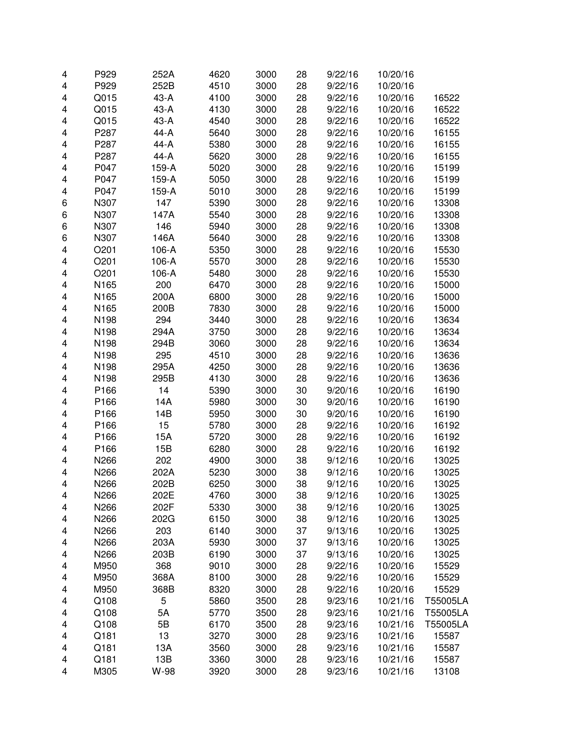| 4                       | P929 | 252A   | 4620 | 3000 | 28 | 9/22/16 | 10/20/16 |          |
|-------------------------|------|--------|------|------|----|---------|----------|----------|
| $\overline{\mathbf{4}}$ | P929 | 252B   | 4510 | 3000 | 28 | 9/22/16 | 10/20/16 |          |
| $\overline{\mathbf{4}}$ | Q015 | 43-A   | 4100 | 3000 | 28 | 9/22/16 | 10/20/16 | 16522    |
| $\overline{\mathbf{4}}$ | Q015 | $43-A$ | 4130 | 3000 | 28 | 9/22/16 | 10/20/16 | 16522    |
| 4                       | Q015 | $43-A$ | 4540 | 3000 | 28 | 9/22/16 | 10/20/16 | 16522    |
| 4                       | P287 | 44-A   | 5640 | 3000 | 28 | 9/22/16 | 10/20/16 | 16155    |
| 4                       | P287 | 44-A   | 5380 | 3000 | 28 | 9/22/16 | 10/20/16 | 16155    |
| 4                       | P287 | 44-A   | 5620 | 3000 | 28 | 9/22/16 | 10/20/16 | 16155    |
| 4                       | P047 | 159-A  | 5020 | 3000 | 28 | 9/22/16 | 10/20/16 | 15199    |
| 4                       | P047 | 159-A  | 5050 | 3000 | 28 | 9/22/16 | 10/20/16 | 15199    |
| $\overline{\mathbf{4}}$ | P047 | 159-A  | 5010 | 3000 | 28 | 9/22/16 | 10/20/16 | 15199    |
| 6                       | N307 | 147    | 5390 | 3000 | 28 | 9/22/16 | 10/20/16 | 13308    |
| 6                       | N307 | 147A   | 5540 | 3000 | 28 | 9/22/16 | 10/20/16 | 13308    |
| 6                       | N307 | 146    | 5940 | 3000 | 28 | 9/22/16 | 10/20/16 | 13308    |
| 6                       | N307 | 146A   | 5640 | 3000 | 28 | 9/22/16 | 10/20/16 | 13308    |
| $\overline{\mathbf{4}}$ | O201 | 106-A  | 5350 | 3000 | 28 | 9/22/16 | 10/20/16 | 15530    |
| 4                       | O201 | 106-A  | 5570 | 3000 | 28 | 9/22/16 | 10/20/16 | 15530    |
| 4                       | O201 | 106-A  | 5480 | 3000 | 28 | 9/22/16 | 10/20/16 | 15530    |
| $\overline{\mathbf{4}}$ | N165 | 200    | 6470 | 3000 | 28 | 9/22/16 | 10/20/16 | 15000    |
| $\overline{\mathbf{4}}$ | N165 | 200A   | 6800 | 3000 | 28 | 9/22/16 | 10/20/16 | 15000    |
| 4                       | N165 | 200B   | 7830 | 3000 | 28 | 9/22/16 | 10/20/16 | 15000    |
| 4                       | N198 | 294    | 3440 | 3000 | 28 | 9/22/16 | 10/20/16 | 13634    |
| 4                       | N198 | 294A   | 3750 | 3000 | 28 | 9/22/16 | 10/20/16 | 13634    |
| 4                       | N198 | 294B   | 3060 | 3000 | 28 | 9/22/16 | 10/20/16 | 13634    |
| 4                       | N198 | 295    | 4510 | 3000 | 28 | 9/22/16 | 10/20/16 | 13636    |
| 4                       | N198 | 295A   | 4250 | 3000 | 28 | 9/22/16 | 10/20/16 | 13636    |
| $\overline{\mathbf{4}}$ | N198 | 295B   | 4130 | 3000 | 28 | 9/22/16 | 10/20/16 | 13636    |
| $\overline{\mathbf{4}}$ | P166 | 14     | 5390 | 3000 | 30 | 9/20/16 | 10/20/16 | 16190    |
| $\overline{\mathbf{4}}$ | P166 | 14A    | 5980 | 3000 | 30 | 9/20/16 | 10/20/16 | 16190    |
| $\overline{\mathbf{4}}$ | P166 | 14B    | 5950 | 3000 | 30 | 9/20/16 | 10/20/16 | 16190    |
| 4                       | P166 | 15     | 5780 | 3000 | 28 | 9/22/16 | 10/20/16 | 16192    |
| $\overline{\mathbf{4}}$ | P166 | 15A    | 5720 | 3000 | 28 | 9/22/16 | 10/20/16 | 16192    |
| $\overline{\mathbf{4}}$ | P166 | 15B    | 6280 | 3000 | 28 | 9/22/16 | 10/20/16 | 16192    |
| $\overline{\mathbf{4}}$ | N266 | 202    | 4900 | 3000 | 38 | 9/12/16 | 10/20/16 | 13025    |
| 4                       | N266 | 202A   | 5230 | 3000 | 38 | 9/12/16 | 10/20/16 | 13025    |
| $\overline{\mathbf{4}}$ | N266 | 202B   | 6250 | 3000 | 38 | 9/12/16 | 10/20/16 | 13025    |
| 4                       | N266 | 202E   | 4760 | 3000 | 38 | 9/12/16 | 10/20/16 | 13025    |
| 4                       | N266 | 202F   | 5330 | 3000 | 38 | 9/12/16 | 10/20/16 | 13025    |
| 4                       | N266 | 202G   | 6150 | 3000 | 38 | 9/12/16 | 10/20/16 | 13025    |
| 4                       | N266 | 203    | 6140 | 3000 | 37 | 9/13/16 | 10/20/16 | 13025    |
| 4                       | N266 | 203A   | 5930 | 3000 | 37 | 9/13/16 | 10/20/16 | 13025    |
| 4                       | N266 | 203B   | 6190 | 3000 | 37 | 9/13/16 | 10/20/16 | 13025    |
| 4                       | M950 | 368    | 9010 | 3000 | 28 | 9/22/16 | 10/20/16 | 15529    |
| 4                       | M950 | 368A   | 8100 | 3000 | 28 | 9/22/16 | 10/20/16 | 15529    |
| 4                       | M950 | 368B   | 8320 | 3000 | 28 | 9/22/16 | 10/20/16 | 15529    |
| 4                       | Q108 | 5      | 5860 | 3500 | 28 | 9/23/16 | 10/21/16 | T55005LA |
| 4                       | Q108 | 5A     | 5770 | 3500 | 28 | 9/23/16 | 10/21/16 | T55005LA |
| 4                       | Q108 | 5B     | 6170 | 3500 | 28 | 9/23/16 | 10/21/16 | T55005LA |
| 4                       | Q181 | 13     | 3270 | 3000 | 28 | 9/23/16 | 10/21/16 | 15587    |
| 4                       | Q181 | 13A    | 3560 | 3000 | 28 | 9/23/16 | 10/21/16 | 15587    |
| 4                       | Q181 | 13B    | 3360 | 3000 | 28 | 9/23/16 | 10/21/16 | 15587    |
| 4                       | M305 | W-98   | 3920 | 3000 | 28 | 9/23/16 | 10/21/16 | 13108    |
|                         |      |        |      |      |    |         |          |          |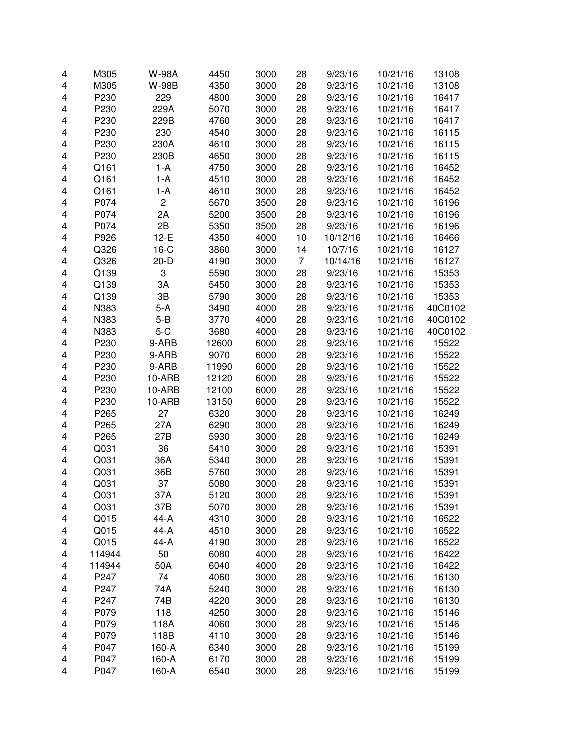| 4 | M305   | <b>W-98A</b>   | 4450  | 3000 | 28             | 9/23/16  | 10/21/16 | 13108   |
|---|--------|----------------|-------|------|----------------|----------|----------|---------|
| 4 | M305   | <b>W-98B</b>   | 4350  | 3000 | 28             | 9/23/16  | 10/21/16 | 13108   |
| 4 | P230   | 229            | 4800  | 3000 | 28             | 9/23/16  | 10/21/16 | 16417   |
| 4 | P230   | 229A           | 5070  | 3000 | 28             | 9/23/16  | 10/21/16 | 16417   |
| 4 | P230   | 229B           | 4760  | 3000 | 28             | 9/23/16  | 10/21/16 | 16417   |
| 4 | P230   | 230            | 4540  | 3000 | 28             | 9/23/16  | 10/21/16 | 16115   |
| 4 | P230   | 230A           | 4610  | 3000 | 28             | 9/23/16  | 10/21/16 | 16115   |
| 4 | P230   | 230B           | 4650  | 3000 | 28             | 9/23/16  | 10/21/16 | 16115   |
| 4 | Q161   | $1-A$          | 4750  | 3000 | 28             | 9/23/16  | 10/21/16 | 16452   |
| 4 | Q161   | $1-A$          | 4510  | 3000 | 28             | 9/23/16  | 10/21/16 | 16452   |
| 4 | Q161   | $1-A$          | 4610  | 3000 | 28             | 9/23/16  | 10/21/16 | 16452   |
| 4 | P074   | $\overline{c}$ | 5670  | 3500 | 28             | 9/23/16  | 10/21/16 | 16196   |
| 4 | P074   | 2A             | 5200  | 3500 | 28             | 9/23/16  | 10/21/16 | 16196   |
| 4 | P074   | 2B             | 5350  | 3500 | 28             | 9/23/16  | 10/21/16 | 16196   |
| 4 | P926   | $12-E$         | 4350  | 4000 | 10             | 10/12/16 | 10/21/16 | 16466   |
| 4 | Q326   | $16-C$         | 3860  | 3000 | 14             | 10/7/16  | 10/21/16 | 16127   |
| 4 | Q326   | $20 - D$       | 4190  | 3000 | $\overline{7}$ | 10/14/16 | 10/21/16 | 16127   |
| 4 | Q139   | 3              | 5590  | 3000 | 28             | 9/23/16  | 10/21/16 | 15353   |
| 4 | Q139   | 3A             | 5450  | 3000 | 28             | 9/23/16  | 10/21/16 | 15353   |
| 4 | Q139   | 3B             | 5790  | 3000 | 28             | 9/23/16  | 10/21/16 | 15353   |
| 4 | N383   | $5-A$          | 3490  | 4000 | 28             | 9/23/16  | 10/21/16 | 40C0102 |
| 4 | N383   | $5 - B$        | 3770  | 4000 | 28             | 9/23/16  | 10/21/16 | 40C0102 |
| 4 | N383   | $5-C$          | 3680  | 4000 | 28             | 9/23/16  | 10/21/16 | 40C0102 |
| 4 | P230   | 9-ARB          | 12600 | 6000 | 28             | 9/23/16  | 10/21/16 | 15522   |
| 4 | P230   | 9-ARB          | 9070  | 6000 | 28             | 9/23/16  | 10/21/16 | 15522   |
| 4 | P230   | 9-ARB          | 11990 | 6000 | 28             | 9/23/16  | 10/21/16 | 15522   |
| 4 | P230   | 10-ARB         | 12120 | 6000 | 28             | 9/23/16  | 10/21/16 | 15522   |
| 4 | P230   | 10-ARB         | 12100 | 6000 | 28             | 9/23/16  | 10/21/16 | 15522   |
| 4 | P230   | 10-ARB         | 13150 | 6000 | 28             | 9/23/16  | 10/21/16 | 15522   |
| 4 | P265   | 27             | 6320  | 3000 | 28             | 9/23/16  | 10/21/16 | 16249   |
| 4 | P265   | 27A            | 6290  | 3000 | 28             | 9/23/16  | 10/21/16 | 16249   |
| 4 | P265   | 27B            | 5930  | 3000 | 28             | 9/23/16  | 10/21/16 | 16249   |
| 4 | Q031   | 36             | 5410  | 3000 | 28             | 9/23/16  | 10/21/16 | 15391   |
| 4 | Q031   | 36A            | 5340  | 3000 | 28             | 9/23/16  | 10/21/16 | 15391   |
| 4 | Q031   | 36B            | 5760  | 3000 | 28             | 9/23/16  | 10/21/16 | 15391   |
| 4 | Q031   | 37             | 5080  | 3000 | 28             | 9/23/16  | 10/21/16 | 15391   |
| 4 | Q031   | 37A            | 5120  | 3000 | 28             | 9/23/16  | 10/21/16 | 15391   |
| 4 | Q031   | 37B            | 5070  | 3000 | 28             | 9/23/16  | 10/21/16 | 15391   |
| 4 | Q015   | 44-A           | 4310  | 3000 | 28             | 9/23/16  | 10/21/16 | 16522   |
| 4 | Q015   | 44-A           | 4510  | 3000 | 28             | 9/23/16  | 10/21/16 | 16522   |
| 4 | Q015   | 44-A           | 4190  | 3000 | 28             | 9/23/16  | 10/21/16 | 16522   |
| 4 | 114944 | 50             | 6080  | 4000 | 28             | 9/23/16  | 10/21/16 | 16422   |
| 4 | 114944 | 50A            | 6040  | 4000 | 28             | 9/23/16  | 10/21/16 | 16422   |
| 4 | P247   | 74             | 4060  | 3000 | 28             | 9/23/16  | 10/21/16 | 16130   |
| 4 | P247   | 74A            | 5240  | 3000 | 28             | 9/23/16  | 10/21/16 | 16130   |
| 4 | P247   | 74B            | 4220  | 3000 | 28             | 9/23/16  | 10/21/16 | 16130   |
| 4 | P079   | 118            | 4250  | 3000 | 28             | 9/23/16  | 10/21/16 | 15146   |
| 4 | P079   | 118A           | 4060  | 3000 | 28             | 9/23/16  | 10/21/16 | 15146   |
| 4 | P079   | 118B           | 4110  | 3000 | 28             | 9/23/16  | 10/21/16 | 15146   |
| 4 | P047   | 160-A          | 6340  | 3000 | 28             | 9/23/16  | 10/21/16 | 15199   |
| 4 | P047   | 160-A          | 6170  | 3000 | 28             | 9/23/16  | 10/21/16 | 15199   |
| 4 | P047   | 160-A          | 6540  | 3000 | 28             | 9/23/16  | 10/21/16 | 15199   |